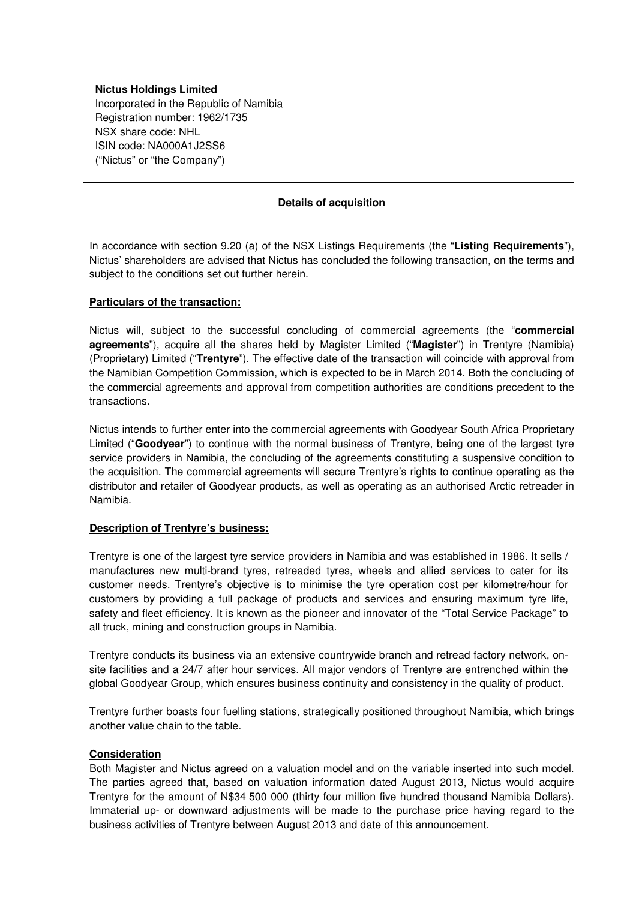## **Nictus Holdings Limited**

Incorporated in the Republic of Namibia Registration number: 1962/1735 NSX share code: NHL ISIN code: NA000A1J2SS6 ("Nictus" or "the Company")

## **Details of acquisition**

In accordance with section 9.20 (a) of the NSX Listings Requirements (the "**Listing Requirements**"), Nictus' shareholders are advised that Nictus has concluded the following transaction, on the terms and subject to the conditions set out further herein.

## **Particulars of the transaction:**

Nictus will, subject to the successful concluding of commercial agreements (the "**commercial agreements**"), acquire all the shares held by Magister Limited ("**Magister**") in Trentyre (Namibia) (Proprietary) Limited ("**Trentyre**"). The effective date of the transaction will coincide with approval from the Namibian Competition Commission, which is expected to be in March 2014. Both the concluding of the commercial agreements and approval from competition authorities are conditions precedent to the transactions.

Nictus intends to further enter into the commercial agreements with Goodyear South Africa Proprietary Limited ("**Goodyear**") to continue with the normal business of Trentyre, being one of the largest tyre service providers in Namibia, the concluding of the agreements constituting a suspensive condition to the acquisition. The commercial agreements will secure Trentyre's rights to continue operating as the distributor and retailer of Goodyear products, as well as operating as an authorised Arctic retreader in Namibia.

# **Description of Trentyre's business:**

Trentyre is one of the largest tyre service providers in Namibia and was established in 1986. It sells / manufactures new multi-brand tyres, retreaded tyres, wheels and allied services to cater for its customer needs. Trentyre's objective is to minimise the tyre operation cost per kilometre/hour for customers by providing a full package of products and services and ensuring maximum tyre life, safety and fleet efficiency. It is known as the pioneer and innovator of the "Total Service Package" to all truck, mining and construction groups in Namibia.

Trentyre conducts its business via an extensive countrywide branch and retread factory network, onsite facilities and a 24/7 after hour services. All major vendors of Trentyre are entrenched within the global Goodyear Group, which ensures business continuity and consistency in the quality of product.

Trentyre further boasts four fuelling stations, strategically positioned throughout Namibia, which brings another value chain to the table.

# **Consideration**

Both Magister and Nictus agreed on a valuation model and on the variable inserted into such model. The parties agreed that, based on valuation information dated August 2013, Nictus would acquire Trentyre for the amount of N\$34 500 000 (thirty four million five hundred thousand Namibia Dollars). Immaterial up- or downward adjustments will be made to the purchase price having regard to the business activities of Trentyre between August 2013 and date of this announcement.